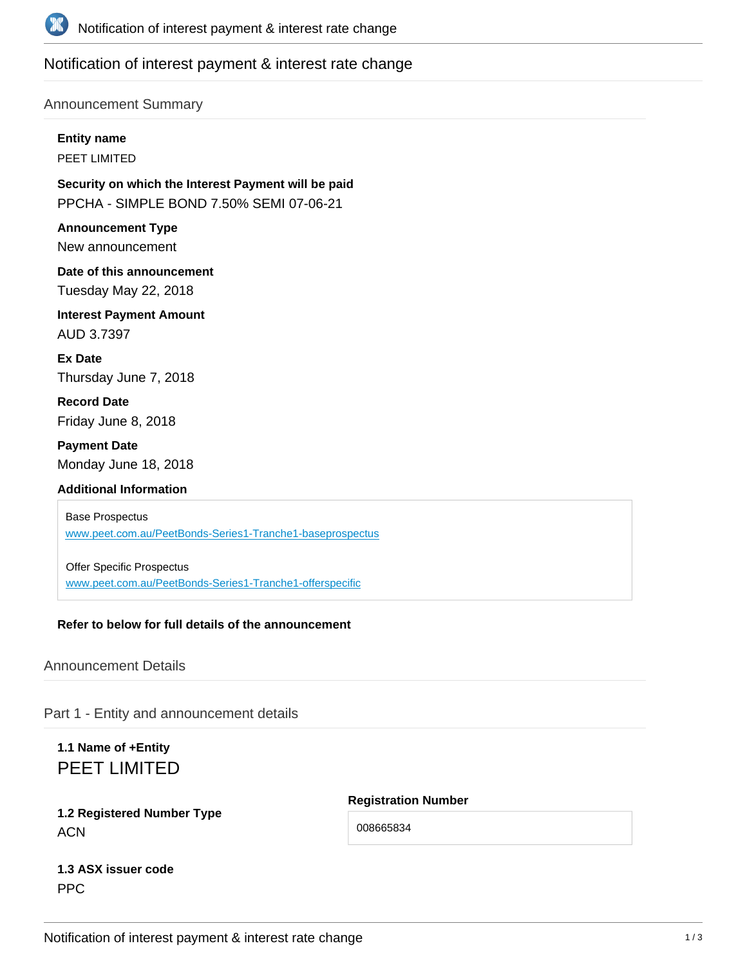

# Notification of interest payment & interest rate change

### Announcement Summary

**Entity name**

PEET LIMITED

**Security on which the Interest Payment will be paid** PPCHA - SIMPLE BOND 7.50% SEMI 07-06-21

**Announcement Type** New announcement

**Date of this announcement** Tuesday May 22, 2018

**Interest Payment Amount** AUD 3.7397

**Ex Date** Thursday June 7, 2018

**Record Date** Friday June 8, 2018

**Payment Date** Monday June 18, 2018

## **Additional Information**

Base Prospectus www.peet.com.[au/PeetBonds-Series1-Tranche1-baseprospectus](www.peet.com.au/PeetBonds-Series1-Tranche1-baseprospectus)

Offer Specific Prospectus [www.peet.com.au/PeetBonds-Series1-Tranche1-offerspecific](www.peet.com.au/peetbonds-series1-tranche1-offerspecific)

## **Refer to below for full details of the announcement**

## Announcement Details

Part 1 - Entity and announcement details

**1.1 Name of +Entity** PEET LIMITED

# **1.2 Registered Number Type ACN**

**Registration Number**

008665834

# **1.3 ASX issuer code** PPC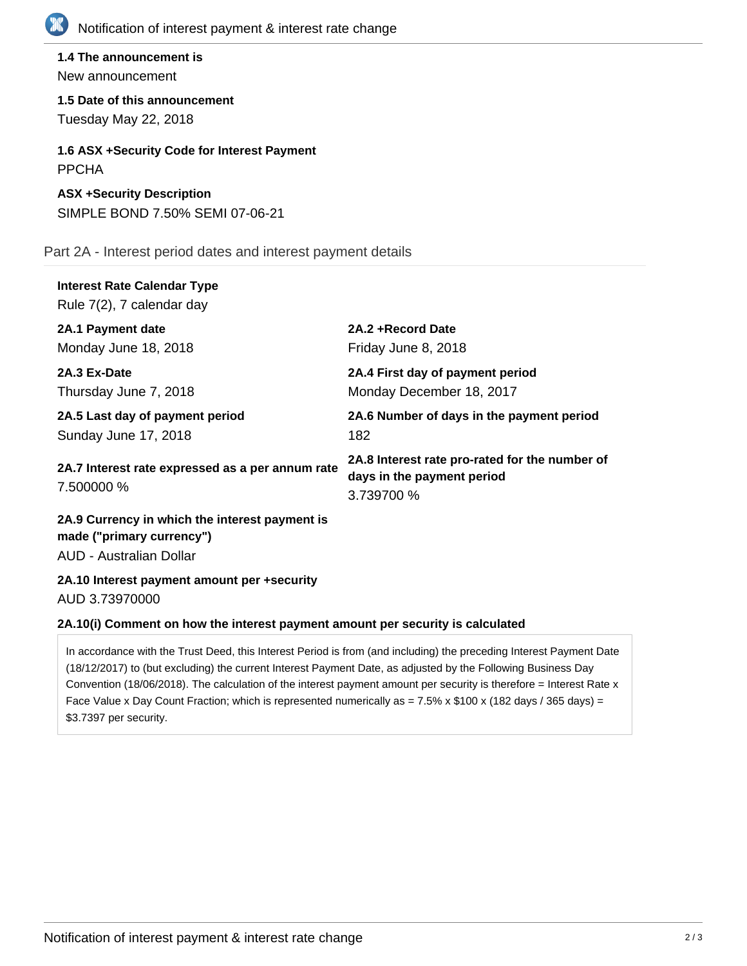

**1.4 The announcement is** New announcement

**1.5 Date of this announcement** Tuesday May 22, 2018

**1.6 ASX +Security Code for Interest Payment** PPCHA

**ASX +Security Description** SIMPLE BOND 7.50% SEMI 07-06-21

Part 2A - Interest period dates and interest payment details

| <b>Interest Rate Calendar Type</b><br>Rule 7(2), 7 calendar day |                                                                                            |
|-----------------------------------------------------------------|--------------------------------------------------------------------------------------------|
| 2A.1 Payment date                                               | 2A.2+Record Date                                                                           |
| Monday June 18, 2018                                            | Friday June 8, 2018                                                                        |
| 2A.3 Ex-Date                                                    | 2A.4 First day of payment period                                                           |
| Thursday June 7, 2018                                           | Monday December 18, 2017                                                                   |
| 2A.5 Last day of payment period                                 | 2A.6 Number of days in the payment period                                                  |
| Sunday June 17, 2018                                            | 182                                                                                        |
| 2A.7 Interest rate expressed as a per annum rate<br>7.500000 %  | 2A.8 Interest rate pro-rated for the number of<br>days in the payment period<br>3.739700 % |

**2A.9 Currency in which the interest payment is made ("primary currency")** AUD - Australian Dollar

**2A.10 Interest payment amount per +security** AUD 3.73970000

### **2A.10(i) Comment on how the interest payment amount per security is calculated**

In accordance with the Trust Deed, this Interest Period is from (and including) the preceding Interest Payment Date (18/12/2017) to (but excluding) the current Interest Payment Date, as adjusted by the Following Business Day Convention (18/06/2018). The calculation of the interest payment amount per security is therefore = Interest Rate x Face Value x Day Count Fraction; which is represented numerically as =  $7.5\%$  x \$100 x (182 days / 365 days) = \$3.7397 per security.